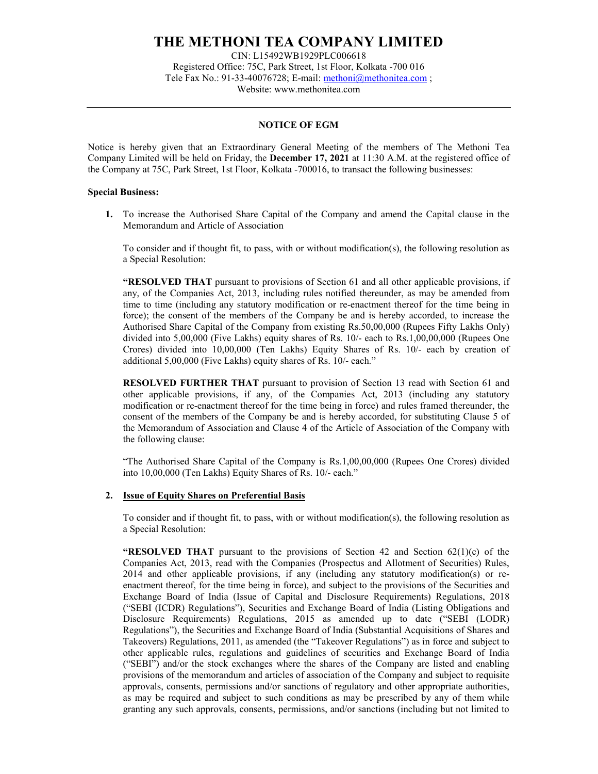# THE METHONI TEA COMPANY LIMITED

CIN: L15492WB1929PLC006618 Registered Office: 75C, Park Street, 1st Floor, Kolkata -700 016 Tele Fax No.: 91-33-40076728; E-mail: methoni@methonitea.com ; Website: www.methonitea.com

### NOTICE OF EGM

Notice is hereby given that an Extraordinary General Meeting of the members of The Methoni Tea Company Limited will be held on Friday, the December 17, 2021 at 11:30 A.M. at the registered office of the Company at 75C, Park Street, 1st Floor, Kolkata -700016, to transact the following businesses:

#### Special Business:

1. To increase the Authorised Share Capital of the Company and amend the Capital clause in the Memorandum and Article of Association

To consider and if thought fit, to pass, with or without modification(s), the following resolution as a Special Resolution:

"RESOLVED THAT pursuant to provisions of Section 61 and all other applicable provisions, if any, of the Companies Act, 2013, including rules notified thereunder, as may be amended from time to time (including any statutory modification or re-enactment thereof for the time being in force); the consent of the members of the Company be and is hereby accorded, to increase the Authorised Share Capital of the Company from existing Rs.50,00,000 (Rupees Fifty Lakhs Only) divided into 5,00,000 (Five Lakhs) equity shares of Rs. 10/- each to Rs.1,00,00,000 (Rupees One Crores) divided into 10,00,000 (Ten Lakhs) Equity Shares of Rs. 10/- each by creation of additional 5,00,000 (Five Lakhs) equity shares of Rs. 10/- each."

RESOLVED FURTHER THAT pursuant to provision of Section 13 read with Section 61 and other applicable provisions, if any, of the Companies Act, 2013 (including any statutory modification or re-enactment thereof for the time being in force) and rules framed thereunder, the consent of the members of the Company be and is hereby accorded, for substituting Clause 5 of the Memorandum of Association and Clause 4 of the Article of Association of the Company with the following clause:

"The Authorised Share Capital of the Company is Rs.1,00,00,000 (Rupees One Crores) divided into 10,00,000 (Ten Lakhs) Equity Shares of Rs. 10/- each."

#### 2. Issue of Equity Shares on Preferential Basis

To consider and if thought fit, to pass, with or without modification(s), the following resolution as a Special Resolution:

**"RESOLVED THAT** pursuant to the provisions of Section 42 and Section  $62(1)(c)$  of the Companies Act, 2013, read with the Companies (Prospectus and Allotment of Securities) Rules, 2014 and other applicable provisions, if any (including any statutory modification(s) or reenactment thereof, for the time being in force), and subject to the provisions of the Securities and Exchange Board of India (Issue of Capital and Disclosure Requirements) Regulations, 2018 ("SEBI (ICDR) Regulations"), Securities and Exchange Board of India (Listing Obligations and Disclosure Requirements) Regulations, 2015 as amended up to date ("SEBI (LODR) Regulations"), the Securities and Exchange Board of India (Substantial Acquisitions of Shares and Takeovers) Regulations, 2011, as amended (the "Takeover Regulations") as in force and subject to other applicable rules, regulations and guidelines of securities and Exchange Board of India ("SEBI") and/or the stock exchanges where the shares of the Company are listed and enabling provisions of the memorandum and articles of association of the Company and subject to requisite approvals, consents, permissions and/or sanctions of regulatory and other appropriate authorities, as may be required and subject to such conditions as may be prescribed by any of them while granting any such approvals, consents, permissions, and/or sanctions (including but not limited to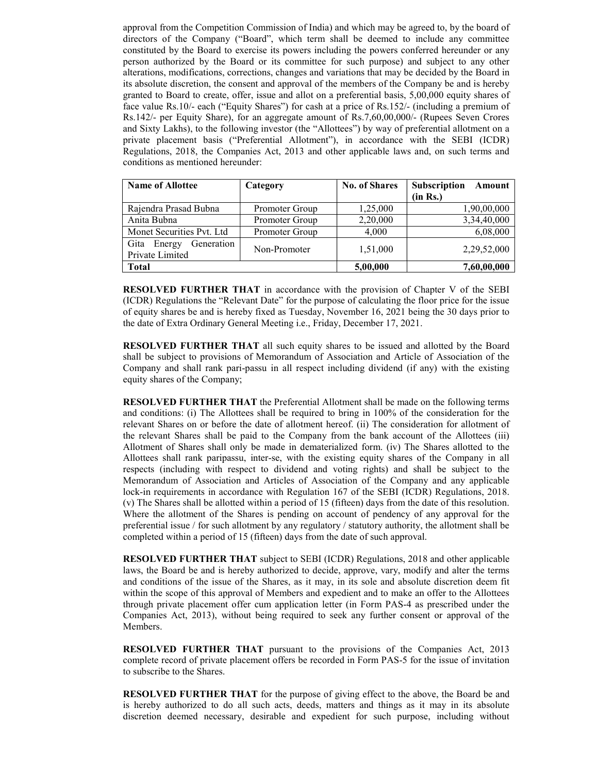approval from the Competition Commission of India) and which may be agreed to, by the board of directors of the Company ("Board", which term shall be deemed to include any committee constituted by the Board to exercise its powers including the powers conferred hereunder or any person authorized by the Board or its committee for such purpose) and subject to any other alterations, modifications, corrections, changes and variations that may be decided by the Board in its absolute discretion, the consent and approval of the members of the Company be and is hereby granted to Board to create, offer, issue and allot on a preferential basis, 5,00,000 equity shares of face value Rs.10/- each ("Equity Shares") for cash at a price of Rs.152/- (including a premium of Rs.142/- per Equity Share), for an aggregate amount of Rs.7,60,00,000/- (Rupees Seven Crores and Sixty Lakhs), to the following investor (the "Allottees") by way of preferential allotment on a private placement basis ("Preferential Allotment"), in accordance with the SEBI (ICDR) Regulations, 2018, the Companies Act, 2013 and other applicable laws and, on such terms and conditions as mentioned hereunder:

| <b>Name of Allottee</b>                         | Category       | <b>No. of Shares</b> | Subscription<br>Amount |
|-------------------------------------------------|----------------|----------------------|------------------------|
|                                                 |                |                      | (in Rs.)               |
| Rajendra Prasad Bubna                           | Promoter Group | 1,25,000             | 1,90,00,000            |
| Anita Bubna                                     | Promoter Group | 2,20,000             | 3,34,40,000            |
| Monet Securities Pvt. Ltd                       | Promoter Group | 4.000                | 6,08,000               |
| Generation<br>Gita<br>Energy<br>Private Limited | Non-Promoter   | 1,51,000             | 2,29,52,000            |
| <b>Total</b>                                    |                | 5,00,000             | 7,60,00,000            |

RESOLVED FURTHER THAT in accordance with the provision of Chapter V of the SEBI (ICDR) Regulations the "Relevant Date" for the purpose of calculating the floor price for the issue of equity shares be and is hereby fixed as Tuesday, November 16, 2021 being the 30 days prior to the date of Extra Ordinary General Meeting i.e., Friday, December 17, 2021.

RESOLVED FURTHER THAT all such equity shares to be issued and allotted by the Board shall be subject to provisions of Memorandum of Association and Article of Association of the Company and shall rank pari-passu in all respect including dividend (if any) with the existing equity shares of the Company;

RESOLVED FURTHER THAT the Preferential Allotment shall be made on the following terms and conditions: (i) The Allottees shall be required to bring in 100% of the consideration for the relevant Shares on or before the date of allotment hereof. (ii) The consideration for allotment of the relevant Shares shall be paid to the Company from the bank account of the Allottees (iii) Allotment of Shares shall only be made in dematerialized form. (iv) The Shares allotted to the Allottees shall rank paripassu, inter-se, with the existing equity shares of the Company in all respects (including with respect to dividend and voting rights) and shall be subject to the Memorandum of Association and Articles of Association of the Company and any applicable lock-in requirements in accordance with Regulation 167 of the SEBI (ICDR) Regulations, 2018. (v) The Shares shall be allotted within a period of 15 (fifteen) days from the date of this resolution. Where the allotment of the Shares is pending on account of pendency of any approval for the preferential issue / for such allotment by any regulatory / statutory authority, the allotment shall be completed within a period of 15 (fifteen) days from the date of such approval.

RESOLVED FURTHER THAT subject to SEBI (ICDR) Regulations, 2018 and other applicable laws, the Board be and is hereby authorized to decide, approve, vary, modify and alter the terms and conditions of the issue of the Shares, as it may, in its sole and absolute discretion deem fit within the scope of this approval of Members and expedient and to make an offer to the Allottees through private placement offer cum application letter (in Form PAS-4 as prescribed under the Companies Act, 2013), without being required to seek any further consent or approval of the Members.

RESOLVED FURTHER THAT pursuant to the provisions of the Companies Act, 2013 complete record of private placement offers be recorded in Form PAS-5 for the issue of invitation to subscribe to the Shares.

RESOLVED FURTHER THAT for the purpose of giving effect to the above, the Board be and is hereby authorized to do all such acts, deeds, matters and things as it may in its absolute discretion deemed necessary, desirable and expedient for such purpose, including without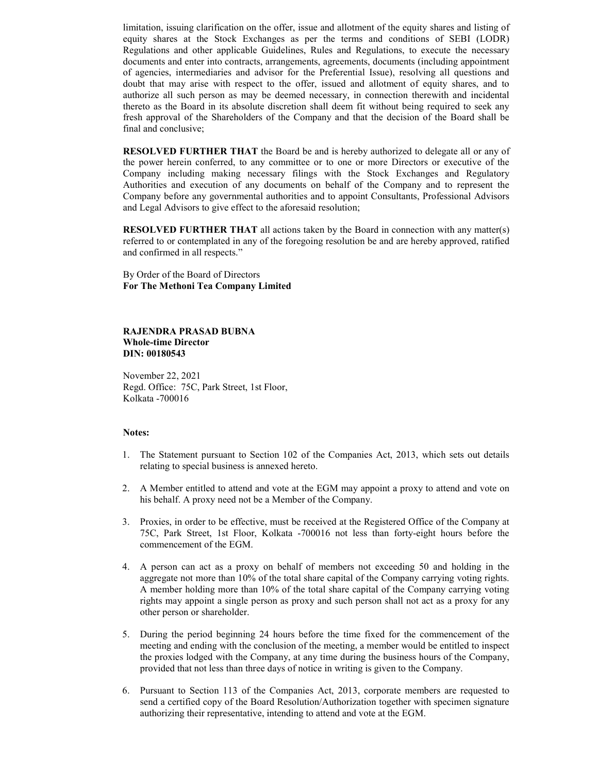limitation, issuing clarification on the offer, issue and allotment of the equity shares and listing of equity shares at the Stock Exchanges as per the terms and conditions of SEBI (LODR) Regulations and other applicable Guidelines, Rules and Regulations, to execute the necessary documents and enter into contracts, arrangements, agreements, documents (including appointment of agencies, intermediaries and advisor for the Preferential Issue), resolving all questions and doubt that may arise with respect to the offer, issued and allotment of equity shares, and to authorize all such person as may be deemed necessary, in connection therewith and incidental thereto as the Board in its absolute discretion shall deem fit without being required to seek any fresh approval of the Shareholders of the Company and that the decision of the Board shall be final and conclusive;

RESOLVED FURTHER THAT the Board be and is hereby authorized to delegate all or any of the power herein conferred, to any committee or to one or more Directors or executive of the Company including making necessary filings with the Stock Exchanges and Regulatory Authorities and execution of any documents on behalf of the Company and to represent the Company before any governmental authorities and to appoint Consultants, Professional Advisors and Legal Advisors to give effect to the aforesaid resolution;

RESOLVED FURTHER THAT all actions taken by the Board in connection with any matter(s) referred to or contemplated in any of the foregoing resolution be and are hereby approved, ratified and confirmed in all respects."

By Order of the Board of Directors For The Methoni Tea Company Limited

### RAJENDRA PRASAD BUBNA Whole-time Director DIN: 00180543

November 22, 2021 Regd. Office: 75C, Park Street, 1st Floor, Kolkata -700016

#### Notes:

- 1. The Statement pursuant to Section 102 of the Companies Act, 2013, which sets out details relating to special business is annexed hereto.
- 2. A Member entitled to attend and vote at the EGM may appoint a proxy to attend and vote on his behalf. A proxy need not be a Member of the Company.
- 3. Proxies, in order to be effective, must be received at the Registered Office of the Company at 75C, Park Street, 1st Floor, Kolkata -700016 not less than forty-eight hours before the commencement of the EGM.
- 4. A person can act as a proxy on behalf of members not exceeding 50 and holding in the aggregate not more than 10% of the total share capital of the Company carrying voting rights. A member holding more than 10% of the total share capital of the Company carrying voting rights may appoint a single person as proxy and such person shall not act as a proxy for any other person or shareholder.
- 5. During the period beginning 24 hours before the time fixed for the commencement of the meeting and ending with the conclusion of the meeting, a member would be entitled to inspect the proxies lodged with the Company, at any time during the business hours of the Company, provided that not less than three days of notice in writing is given to the Company.
- 6. Pursuant to Section 113 of the Companies Act, 2013, corporate members are requested to send a certified copy of the Board Resolution/Authorization together with specimen signature authorizing their representative, intending to attend and vote at the EGM.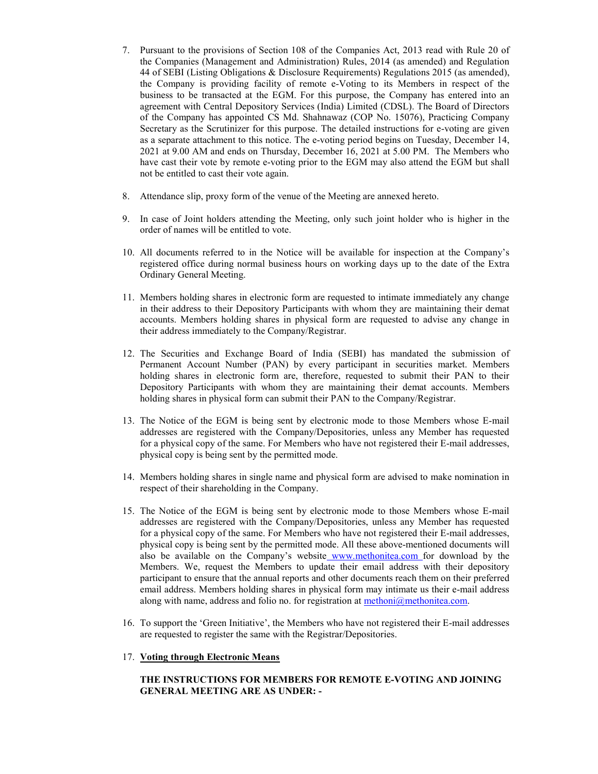- 7. Pursuant to the provisions of Section 108 of the Companies Act, 2013 read with Rule 20 of the Companies (Management and Administration) Rules, 2014 (as amended) and Regulation 44 of SEBI (Listing Obligations & Disclosure Requirements) Regulations 2015 (as amended), the Company is providing facility of remote e-Voting to its Members in respect of the business to be transacted at the EGM. For this purpose, the Company has entered into an agreement with Central Depository Services (India) Limited (CDSL). The Board of Directors of the Company has appointed CS Md. Shahnawaz (COP No. 15076), Practicing Company Secretary as the Scrutinizer for this purpose. The detailed instructions for e-voting are given as a separate attachment to this notice. The e-voting period begins on Tuesday, December 14, 2021 at 9.00 AM and ends on Thursday, December 16, 2021 at 5.00 PM. The Members who have cast their vote by remote e-voting prior to the EGM may also attend the EGM but shall not be entitled to cast their vote again.
- 8. Attendance slip, proxy form of the venue of the Meeting are annexed hereto.
- 9. In case of Joint holders attending the Meeting, only such joint holder who is higher in the order of names will be entitled to vote.
- 10. All documents referred to in the Notice will be available for inspection at the Company's registered office during normal business hours on working days up to the date of the Extra Ordinary General Meeting.
- 11. Members holding shares in electronic form are requested to intimate immediately any change in their address to their Depository Participants with whom they are maintaining their demat accounts. Members holding shares in physical form are requested to advise any change in their address immediately to the Company/Registrar.
- 12. The Securities and Exchange Board of India (SEBI) has mandated the submission of Permanent Account Number (PAN) by every participant in securities market. Members holding shares in electronic form are, therefore, requested to submit their PAN to their Depository Participants with whom they are maintaining their demat accounts. Members holding shares in physical form can submit their PAN to the Company/Registrar.
- 13. The Notice of the EGM is being sent by electronic mode to those Members whose E-mail addresses are registered with the Company/Depositories, unless any Member has requested for a physical copy of the same. For Members who have not registered their E-mail addresses, physical copy is being sent by the permitted mode.
- 14. Members holding shares in single name and physical form are advised to make nomination in respect of their shareholding in the Company.
- 15. The Notice of the EGM is being sent by electronic mode to those Members whose E-mail addresses are registered with the Company/Depositories, unless any Member has requested for a physical copy of the same. For Members who have not registered their E-mail addresses, physical copy is being sent by the permitted mode. All these above-mentioned documents will also be available on the Company's website www.methonitea.com for download by the Members. We, request the Members to update their email address with their depository participant to ensure that the annual reports and other documents reach them on their preferred email address. Members holding shares in physical form may intimate us their e-mail address along with name, address and folio no. for registration at methoni@methonitea.com.
- 16. To support the 'Green Initiative', the Members who have not registered their E-mail addresses are requested to register the same with the Registrar/Depositories.
- 17. Voting through Electronic Means

# THE INSTRUCTIONS FOR MEMBERS FOR REMOTE E-VOTING AND JOINING GENERAL MEETING ARE AS UNDER: -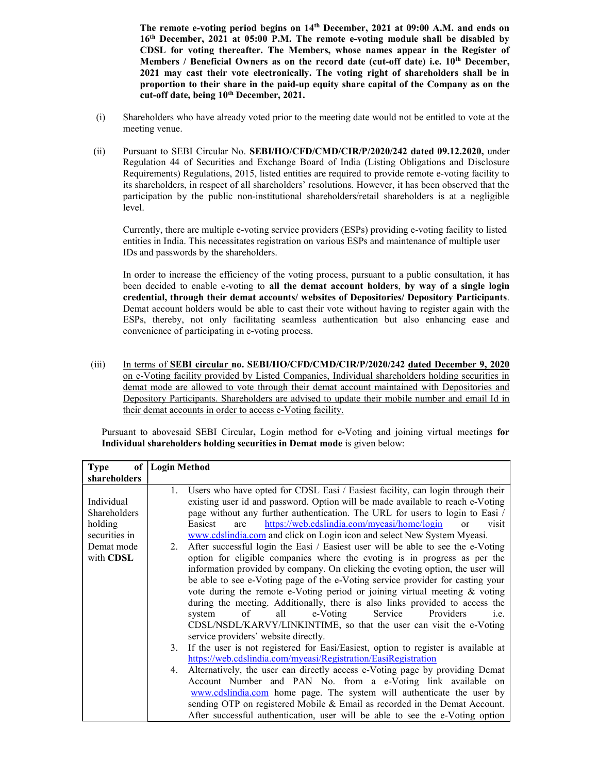The remote e-voting period begins on 14th December, 2021 at 09:00 A.M. and ends on 16th December, 2021 at 05:00 P.M. The remote e-voting module shall be disabled by CDSL for voting thereafter. The Members, whose names appear in the Register of Members / Beneficial Owners as on the record date (cut-off date) i.e.  $10<sup>th</sup>$  December, 2021 may cast their vote electronically. The voting right of shareholders shall be in proportion to their share in the paid-up equity share capital of the Company as on the cut-off date, being 10<sup>th</sup> December, 2021.

- (i) Shareholders who have already voted prior to the meeting date would not be entitled to vote at the meeting venue.
- (ii) Pursuant to SEBI Circular No. SEBI/HO/CFD/CMD/CIR/P/2020/242 dated 09.12.2020, under Regulation 44 of Securities and Exchange Board of India (Listing Obligations and Disclosure Requirements) Regulations, 2015, listed entities are required to provide remote e-voting facility to its shareholders, in respect of all shareholders' resolutions. However, it has been observed that the participation by the public non-institutional shareholders/retail shareholders is at a negligible level.

Currently, there are multiple e-voting service providers (ESPs) providing e-voting facility to listed entities in India. This necessitates registration on various ESPs and maintenance of multiple user IDs and passwords by the shareholders.

In order to increase the efficiency of the voting process, pursuant to a public consultation, it has been decided to enable e-voting to all the demat account holders, by way of a single login credential, through their demat accounts/ websites of Depositories/ Depository Participants. Demat account holders would be able to cast their vote without having to register again with the ESPs, thereby, not only facilitating seamless authentication but also enhancing ease and convenience of participating in e-voting process.

(iii) In terms of SEBI circular no. SEBI/HO/CFD/CMD/CIR/P/2020/242 dated December 9, 2020 on e-Voting facility provided by Listed Companies, Individual shareholders holding securities in demat mode are allowed to vote through their demat account maintained with Depositories and Depository Participants. Shareholders are advised to update their mobile number and email Id in their demat accounts in order to access e-Voting facility.

Pursuant to abovesaid SEBI Circular, Login method for e-Voting and joining virtual meetings for Individual shareholders holding securities in Demat mode is given below:

| <sub>of</sub><br><b>Type</b>                           | <b>Login Method</b>                                                                                                                                                                                                                                                                                                                                                                                                                                                                                                                                                                                                                                                                              |
|--------------------------------------------------------|--------------------------------------------------------------------------------------------------------------------------------------------------------------------------------------------------------------------------------------------------------------------------------------------------------------------------------------------------------------------------------------------------------------------------------------------------------------------------------------------------------------------------------------------------------------------------------------------------------------------------------------------------------------------------------------------------|
| shareholders                                           |                                                                                                                                                                                                                                                                                                                                                                                                                                                                                                                                                                                                                                                                                                  |
| Individual<br>Shareholders<br>holding<br>securities in | Users who have opted for CDSL Easi / Easiest facility, can login through their<br>1.<br>existing user id and password. Option will be made available to reach e-Voting<br>page without any further authentication. The URL for users to login to Easi /<br>https://web.cdslindia.com/myeasi/home/login<br>Easiest<br>are<br>visit<br>$\alpha$ r<br>www.cdslindia.com and click on Login icon and select New System Myeasi.                                                                                                                                                                                                                                                                       |
| Demat mode<br>with CDSL                                | After successful login the Easi / Easiest user will be able to see the e-Voting<br>2.<br>option for eligible companies where the evoting is in progress as per the<br>information provided by company. On clicking the evoting option, the user will<br>be able to see e-Voting page of the e-Voting service provider for casting your<br>vote during the remote e-Voting period or joining virtual meeting $\&$ voting<br>during the meeting. Additionally, there is also links provided to access the<br>Service<br>e-Voting<br>Providers<br>$\circ$ f<br>all<br>system<br>i.e.<br>CDSL/NSDL/KARVY/LINKINTIME, so that the user can visit the e-Voting<br>service providers' website directly. |
|                                                        | If the user is not registered for Easi/Easiest, option to register is available at<br>3.<br>https://web.cdslindia.com/myeasi/Registration/EasiRegistration                                                                                                                                                                                                                                                                                                                                                                                                                                                                                                                                       |
|                                                        | Alternatively, the user can directly access e-Voting page by providing Demat<br>4.<br>Account Number and PAN No. from a e-Voting link available on<br>www.cdslindia.com home page. The system will authenticate the user by<br>sending OTP on registered Mobile & Email as recorded in the Demat Account.<br>After successful authentication, user will be able to see the e-Voting option                                                                                                                                                                                                                                                                                                       |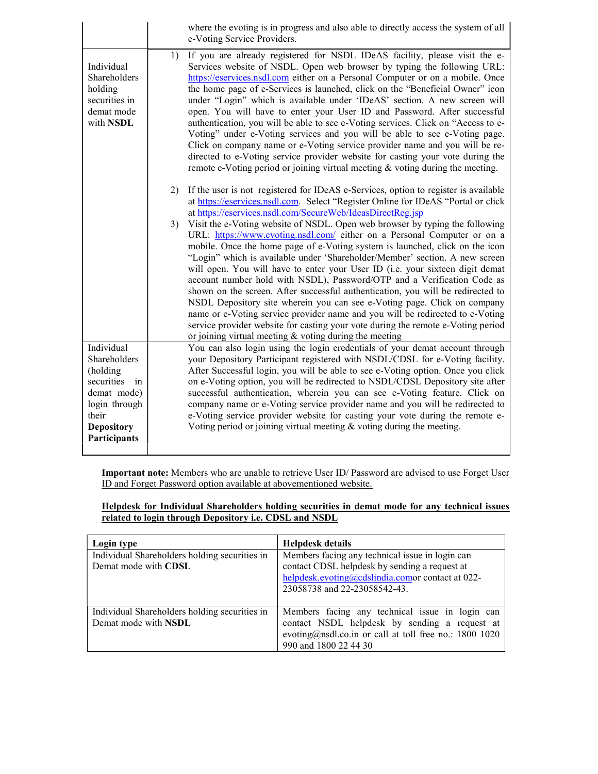|                                                                                                                                          | where the evoting is in progress and also able to directly access the system of all<br>e-Voting Service Providers.                                                                                                                                                                                                                                                                                                                                                                                                                                                                                                                                                                                                                                                                                                                                                                                                                                                                                                                                                                                                                        |
|------------------------------------------------------------------------------------------------------------------------------------------|-------------------------------------------------------------------------------------------------------------------------------------------------------------------------------------------------------------------------------------------------------------------------------------------------------------------------------------------------------------------------------------------------------------------------------------------------------------------------------------------------------------------------------------------------------------------------------------------------------------------------------------------------------------------------------------------------------------------------------------------------------------------------------------------------------------------------------------------------------------------------------------------------------------------------------------------------------------------------------------------------------------------------------------------------------------------------------------------------------------------------------------------|
| Individual<br>Shareholders<br>holding<br>securities in<br>demat mode<br>with NSDL                                                        | If you are already registered for NSDL IDeAS facility, please visit the e-<br>1)<br>Services website of NSDL. Open web browser by typing the following URL:<br>https://eservices.nsdl.com either on a Personal Computer or on a mobile. Once<br>the home page of e-Services is launched, click on the "Beneficial Owner" icon<br>under "Login" which is available under 'IDeAS' section. A new screen will<br>open. You will have to enter your User ID and Password. After successful<br>authentication, you will be able to see e-Voting services. Click on "Access to e-<br>Voting" under e-Voting services and you will be able to see e-Voting page.<br>Click on company name or e-Voting service provider name and you will be re-<br>directed to e-Voting service provider website for casting your vote during the<br>remote e-Voting period or joining virtual meeting $\&$ voting during the meeting.                                                                                                                                                                                                                           |
|                                                                                                                                          | If the user is not registered for IDeAS e-Services, option to register is available<br>2)<br>at https://eservices.nsdl.com. Select "Register Online for IDeAS "Portal or click<br>at https://eservices.nsdl.com/SecureWeb/IdeasDirectReg.jsp<br>Visit the e-Voting website of NSDL. Open web browser by typing the following<br>3)<br>URL: https://www.evoting.nsdl.com/ either on a Personal Computer or on a<br>mobile. Once the home page of e-Voting system is launched, click on the icon<br>"Login" which is available under 'Shareholder/Member' section. A new screen<br>will open. You will have to enter your User ID (i.e. your sixteen digit demat<br>account number hold with NSDL), Password/OTP and a Verification Code as<br>shown on the screen. After successful authentication, you will be redirected to<br>NSDL Depository site wherein you can see e-Voting page. Click on company<br>name or e-Voting service provider name and you will be redirected to e-Voting<br>service provider website for casting your vote during the remote e-Voting period<br>or joining virtual meeting $&$ voting during the meeting |
| Individual<br>Shareholders<br>(holding<br>securities<br>in<br>demat mode)<br>login through<br>their<br><b>Depository</b><br>Participants | You can also login using the login credentials of your demat account through<br>your Depository Participant registered with NSDL/CDSL for e-Voting facility.<br>After Successful login, you will be able to see e-Voting option. Once you click<br>on e-Voting option, you will be redirected to NSDL/CDSL Depository site after<br>successful authentication, wherein you can see e-Voting feature. Click on<br>company name or e-Voting service provider name and you will be redirected to<br>e-Voting service provider website for casting your vote during the remote e-<br>Voting period or joining virtual meeting $&$ voting during the meeting.                                                                                                                                                                                                                                                                                                                                                                                                                                                                                  |

Important note: Members who are unable to retrieve User ID/ Password are advised to use Forget User ID and Forget Password option available at abovementioned website.

Helpdesk for Individual Shareholders holding securities in demat mode for any technical issues related to login through Depository i.e. CDSL and NSDL

| Login type                                                            | <b>Helpdesk details</b>                                                                                                                                                             |
|-----------------------------------------------------------------------|-------------------------------------------------------------------------------------------------------------------------------------------------------------------------------------|
| Individual Shareholders holding securities in<br>Demat mode with CDSL | Members facing any technical issue in login can<br>contact CDSL helpdesk by sending a request at<br>helpdesk.evoting@cdslindia.comor contact at 022-                                |
|                                                                       | 23058738 and 22-23058542-43.                                                                                                                                                        |
| Individual Shareholders holding securities in<br>Demat mode with NSDL | Members facing any technical issue in login can<br>contact NSDL helpdesk by sending a request at<br>evoting@nsdl.co.in or call at toll free no.: 1800 1020<br>990 and 1800 22 44 30 |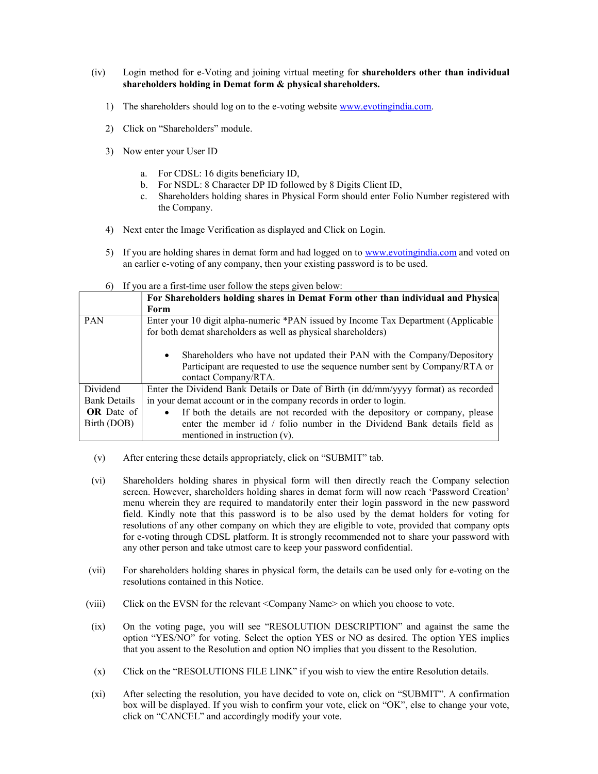- (iv) Login method for e-Voting and joining virtual meeting for shareholders other than individual shareholders holding in Demat form & physical shareholders.
	- 1) The shareholders should log on to the e-voting website www.evotingindia.com.
	- 2) Click on "Shareholders" module.
	- 3) Now enter your User ID
		- a. For CDSL: 16 digits beneficiary ID,
		- b. For NSDL: 8 Character DP ID followed by 8 Digits Client ID,
		- c. Shareholders holding shares in Physical Form should enter Folio Number registered with the Company.
	- 4) Next enter the Image Verification as displayed and Click on Login.
	- 5) If you are holding shares in demat form and had logged on to www.evotingindia.com and voted on an earlier e-voting of any company, then your existing password is to be used.
	- $6$ ) If you are a first-time user follow the steps given below:

|                     | If you are a first three aser follow the steps given below.                                                                                                                                 |
|---------------------|---------------------------------------------------------------------------------------------------------------------------------------------------------------------------------------------|
|                     | For Shareholders holding shares in Demat Form other than individual and Physica                                                                                                             |
|                     | Form                                                                                                                                                                                        |
| <b>PAN</b>          | Enter your 10 digit alpha-numeric *PAN issued by Income Tax Department (Applicable                                                                                                          |
|                     | for both demat shareholders as well as physical shareholders)                                                                                                                               |
|                     | Shareholders who have not updated their PAN with the Company/Depository<br>$\bullet$<br>Participant are requested to use the sequence number sent by Company/RTA or<br>contact Company/RTA. |
| Dividend            | Enter the Dividend Bank Details or Date of Birth (in dd/mm/yyyy format) as recorded                                                                                                         |
| <b>Bank Details</b> | in your demat account or in the company records in order to login.                                                                                                                          |
| <b>OR</b> Date of   | If both the details are not recorded with the depository or company, please<br>$\bullet$                                                                                                    |
| Birth (DOB)         | enter the member id / folio number in the Dividend Bank details field as                                                                                                                    |
|                     | mentioned in instruction $(v)$ .                                                                                                                                                            |

- (v) After entering these details appropriately, click on "SUBMIT" tab.
- (vi) Shareholders holding shares in physical form will then directly reach the Company selection screen. However, shareholders holding shares in demat form will now reach 'Password Creation' menu wherein they are required to mandatorily enter their login password in the new password field. Kindly note that this password is to be also used by the demat holders for voting for resolutions of any other company on which they are eligible to vote, provided that company opts for e-voting through CDSL platform. It is strongly recommended not to share your password with any other person and take utmost care to keep your password confidential.
- (vii) For shareholders holding shares in physical form, the details can be used only for e-voting on the resolutions contained in this Notice.
- (viii) Click on the EVSN for the relevant <Company Name> on which you choose to vote.
- (ix) On the voting page, you will see "RESOLUTION DESCRIPTION" and against the same the option "YES/NO" for voting. Select the option YES or NO as desired. The option YES implies that you assent to the Resolution and option NO implies that you dissent to the Resolution.
- (x) Click on the "RESOLUTIONS FILE LINK" if you wish to view the entire Resolution details.
- (xi) After selecting the resolution, you have decided to vote on, click on "SUBMIT". A confirmation box will be displayed. If you wish to confirm your vote, click on "OK", else to change your vote, click on "CANCEL" and accordingly modify your vote.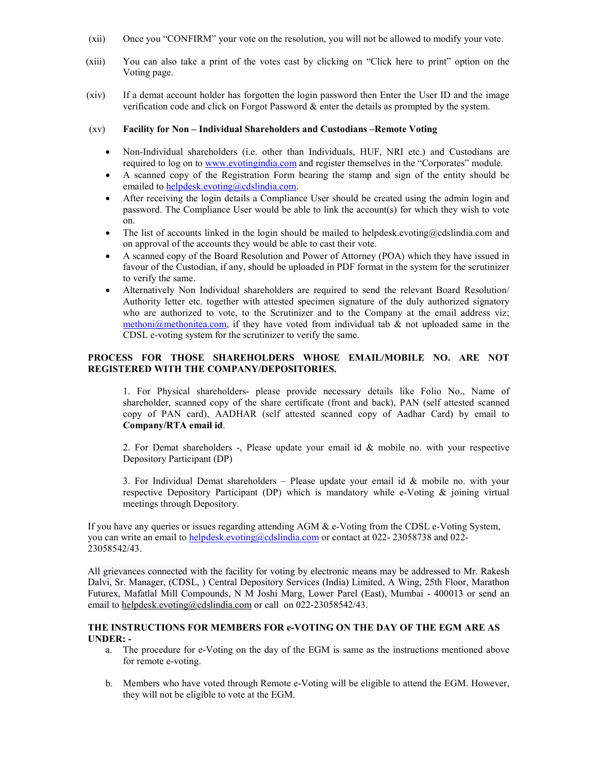- (xii) Once you "CONFIRM" your vote on the resolution, you will not be allowed to modify your vote.
- (xiii) You can also take a print of the votes cast by clicking on "Click here to print" option on the Voting page.
- (xiv) If a demat account holder has forgotten the login password then Enter the User ID and the image verification code and click on Forgot Password  $\&$  enter the details as prompted by the system.

## (xv) Facility for Non – Individual Shareholders and Custodians –Remote Voting

- Non-Individual shareholders (i.e. other than Individuals, HUF, NRI etc.) and Custodians are required to log on to www.evotingindia.com and register themselves in the "Corporates" module.
- A scanned copy of the Registration Form bearing the stamp and sign of the entity should be emailed to helpdesk.evoting@cdslindia.com.
- After receiving the login details a Compliance User should be created using the admin login and password. The Compliance User would be able to link the account(s) for which they wish to vote on.
- The list of accounts linked in the login should be mailed to helpdesk.evoting@cdslindia.com and on approval of the accounts they would be able to cast their vote.
- A scanned copy of the Board Resolution and Power of Attorney (POA) which they have issued in favour of the Custodian, if any, should be uploaded in PDF format in the system for the scrutinizer to verify the same.
- Alternatively Non Individual shareholders are required to send the relevant Board Resolution/ Authority letter etc. together with attested specimen signature of the duly authorized signatory who are authorized to vote, to the Scrutinizer and to the Company at the email address viz;  $methoni@method$  interaction if they have voted from individual tab & not uploaded same in the CDSL e-voting system for the scrutinizer to verify the same.

## PROCESS FOR THOSE SHAREHOLDERS WHOSE EMAIL/MOBILE NO. ARE NOT REGISTERED WITH THE COMPANY/DEPOSITORIES.

1. For Physical shareholders- please provide necessary details like Folio No., Name of shareholder, scanned copy of the share certificate (front and back), PAN (self attested scanned copy of PAN card), AADHAR (self attested scanned copy of Aadhar Card) by email to Company/RTA email id.

2. For Demat shareholders  $-$ , Please update your email id  $\&$  mobile no. with your respective Depository Participant (DP)

3. For Individual Demat shareholders – Please update your email id  $&$  mobile no. with your respective Depository Participant (DP) which is mandatory while e-Voting & joining virtual meetings through Depository.

If you have any queries or issues regarding attending AGM & e-Voting from the CDSL e-Voting System, you can write an email to helpdesk.evoting@cdslindia.com or contact at 022-23058738 and 022-23058542/43.

All grievances connected with the facility for voting by electronic means may be addressed to Mr. Rakesh Dalvi, Sr. Manager, (CDSL, ) Central Depository Services (India) Limited, A Wing, 25th Floor, Marathon Futurex, Mafatlal Mill Compounds, N M Joshi Marg, Lower Parel (East), Mumbai - 400013 or send an email to helpdesk.evoting@cdslindia.com or call on 022-23058542/43.

### THE INSTRUCTIONS FOR MEMBERS FOR e-VOTING ON THE DAY OF THE EGM ARE AS UNDER: -

- a. The procedure for e-Voting on the day of the EGM is same as the instructions mentioned above for remote e-voting.
- b. Members who have voted through Remote e-Voting will be eligible to attend the EGM. However, they will not be eligible to vote at the EGM.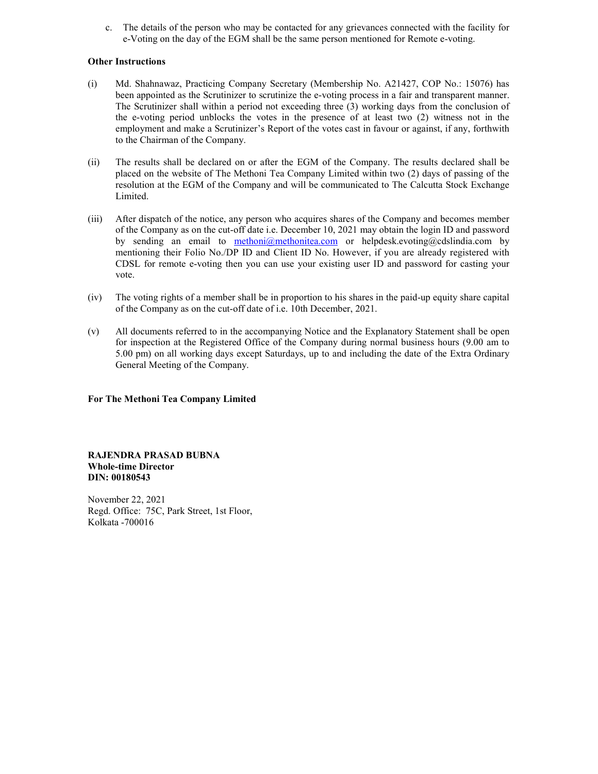c. The details of the person who may be contacted for any grievances connected with the facility for e-Voting on the day of the EGM shall be the same person mentioned for Remote e-voting.

### Other Instructions

- (i) Md. Shahnawaz, Practicing Company Secretary (Membership No. A21427, COP No.: 15076) has been appointed as the Scrutinizer to scrutinize the e-voting process in a fair and transparent manner. The Scrutinizer shall within a period not exceeding three (3) working days from the conclusion of the e-voting period unblocks the votes in the presence of at least two (2) witness not in the employment and make a Scrutinizer's Report of the votes cast in favour or against, if any, forthwith to the Chairman of the Company.
- (ii) The results shall be declared on or after the EGM of the Company. The results declared shall be placed on the website of The Methoni Tea Company Limited within two (2) days of passing of the resolution at the EGM of the Company and will be communicated to The Calcutta Stock Exchange Limited.
- (iii) After dispatch of the notice, any person who acquires shares of the Company and becomes member of the Company as on the cut-off date i.e. December 10, 2021 may obtain the login ID and password by sending an email to methoni@methonitea.com or helpdesk.evoting@cdslindia.com by mentioning their Folio No./DP ID and Client ID No. However, if you are already registered with CDSL for remote e-voting then you can use your existing user ID and password for casting your vote.
- (iv) The voting rights of a member shall be in proportion to his shares in the paid-up equity share capital of the Company as on the cut-off date of i.e. 10th December, 2021.
- (v) All documents referred to in the accompanying Notice and the Explanatory Statement shall be open for inspection at the Registered Office of the Company during normal business hours (9.00 am to 5.00 pm) on all working days except Saturdays, up to and including the date of the Extra Ordinary General Meeting of the Company.

# For The Methoni Tea Company Limited

RAJENDRA PRASAD BUBNA Whole-time Director DIN: 00180543

November 22, 2021 Regd. Office: 75C, Park Street, 1st Floor, Kolkata -700016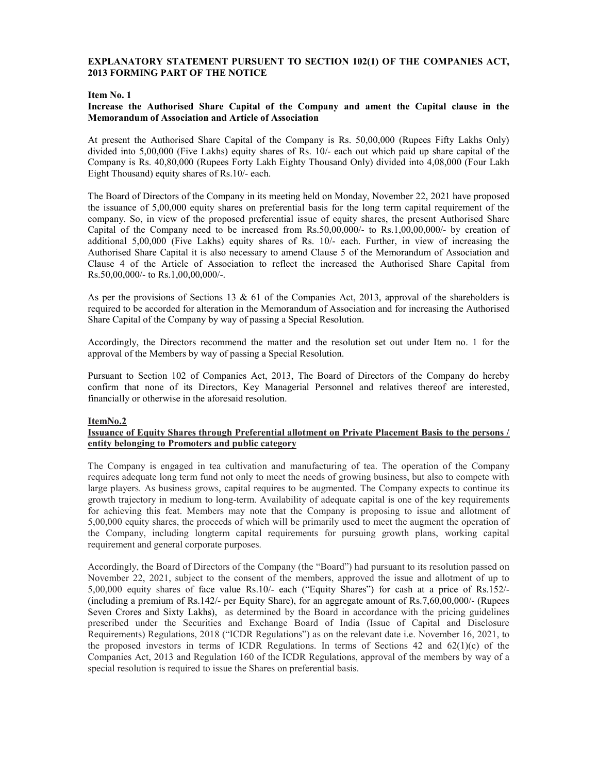# EXPLANATORY STATEMENT PURSUENT TO SECTION 102(1) OF THE COMPANIES ACT, 2013 FORMING PART OF THE NOTICE

### Item No. 1

### Increase the Authorised Share Capital of the Company and ament the Capital clause in the Memorandum of Association and Article of Association

At present the Authorised Share Capital of the Company is Rs. 50,00,000 (Rupees Fifty Lakhs Only) divided into 5,00,000 (Five Lakhs) equity shares of Rs. 10/- each out which paid up share capital of the Company is Rs. 40,80,000 (Rupees Forty Lakh Eighty Thousand Only) divided into 4,08,000 (Four Lakh Eight Thousand) equity shares of Rs.10/- each.

The Board of Directors of the Company in its meeting held on Monday, November 22, 2021 have proposed the issuance of 5,00,000 equity shares on preferential basis for the long term capital requirement of the company. So, in view of the proposed preferential issue of equity shares, the present Authorised Share Capital of the Company need to be increased from Rs.50,00,000/- to Rs.1,00,00,000/- by creation of additional 5,00,000 (Five Lakhs) equity shares of Rs. 10/- each. Further, in view of increasing the Authorised Share Capital it is also necessary to amend Clause 5 of the Memorandum of Association and Clause 4 of the Article of Association to reflect the increased the Authorised Share Capital from Rs.50,00,000/- to Rs.1,00,00,000/-.

As per the provisions of Sections 13 & 61 of the Companies Act, 2013, approval of the shareholders is required to be accorded for alteration in the Memorandum of Association and for increasing the Authorised Share Capital of the Company by way of passing a Special Resolution.

Accordingly, the Directors recommend the matter and the resolution set out under Item no. 1 for the approval of the Members by way of passing a Special Resolution.

Pursuant to Section 102 of Companies Act, 2013, The Board of Directors of the Company do hereby confirm that none of its Directors, Key Managerial Personnel and relatives thereof are interested, financially or otherwise in the aforesaid resolution.

### ItemNo.2

# Issuance of Equity Shares through Preferential allotment on Private Placement Basis to the persons / entity belonging to Promoters and public category

The Company is engaged in tea cultivation and manufacturing of tea. The operation of the Company requires adequate long term fund not only to meet the needs of growing business, but also to compete with large players. As business grows, capital requires to be augmented. The Company expects to continue its growth trajectory in medium to long-term. Availability of adequate capital is one of the key requirements for achieving this feat. Members may note that the Company is proposing to issue and allotment of 5,00,000 equity shares, the proceeds of which will be primarily used to meet the augment the operation of the Company, including longterm capital requirements for pursuing growth plans, working capital requirement and general corporate purposes.

Accordingly, the Board of Directors of the Company (the "Board") had pursuant to its resolution passed on November 22, 2021, subject to the consent of the members, approved the issue and allotment of up to 5,00,000 equity shares of face value Rs.10/- each ("Equity Shares") for cash at a price of Rs.152/- (including a premium of Rs.142/- per Equity Share), for an aggregate amount of Rs.7,60,00,000/- (Rupees Seven Crores and Sixty Lakhs), as determined by the Board in accordance with the pricing guidelines prescribed under the Securities and Exchange Board of India (Issue of Capital and Disclosure Requirements) Regulations, 2018 ("ICDR Regulations") as on the relevant date i.e. November 16, 2021, to the proposed investors in terms of ICDR Regulations. In terms of Sections 42 and  $62(1)(c)$  of the Companies Act, 2013 and Regulation 160 of the ICDR Regulations, approval of the members by way of a special resolution is required to issue the Shares on preferential basis.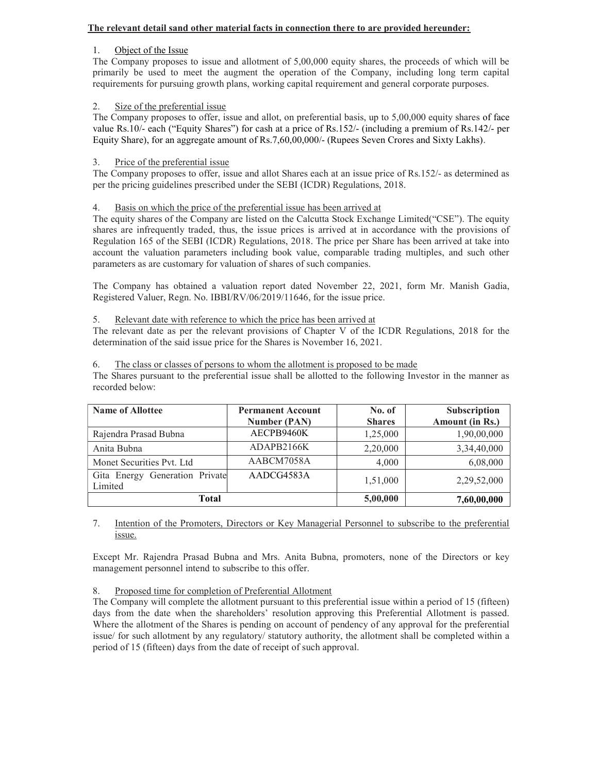# The relevant detail sand other material facts in connection there to are provided hereunder:

# 1. Object of the Issue

The Company proposes to issue and allotment of 5,00,000 equity shares, the proceeds of which will be primarily be used to meet the augment the operation of the Company, including long term capital requirements for pursuing growth plans, working capital requirement and general corporate purposes.

# 2. Size of the preferential issue

The Company proposes to offer, issue and allot, on preferential basis, up to 5,00,000 equity shares of face value Rs.10/- each ("Equity Shares") for cash at a price of Rs.152/- (including a premium of Rs.142/- per Equity Share), for an aggregate amount of Rs.7,60,00,000/- (Rupees Seven Crores and Sixty Lakhs).

# 3. Price of the preferential issue

The Company proposes to offer, issue and allot Shares each at an issue price of Rs.152/- as determined as per the pricing guidelines prescribed under the SEBI (ICDR) Regulations, 2018.

# 4. Basis on which the price of the preferential issue has been arrived at

The equity shares of the Company are listed on the Calcutta Stock Exchange Limited("CSE"). The equity shares are infrequently traded, thus, the issue prices is arrived at in accordance with the provisions of Regulation 165 of the SEBI (ICDR) Regulations, 2018. The price per Share has been arrived at take into account the valuation parameters including book value, comparable trading multiples, and such other parameters as are customary for valuation of shares of such companies.

The Company has obtained a valuation report dated November 22, 2021, form Mr. Manish Gadia, Registered Valuer, Regn. No. IBBI/RV/06/2019/11646, for the issue price.

# 5. Relevant date with reference to which the price has been arrived at

The relevant date as per the relevant provisions of Chapter V of the ICDR Regulations, 2018 for the determination of the said issue price for the Shares is November 16, 2021.

# 6. The class or classes of persons to whom the allotment is proposed to be made

The Shares pursuant to the preferential issue shall be allotted to the following Investor in the manner as recorded below:

| <b>Name of Allottee</b>                   | <b>Permanent Account</b><br>Number (PAN) | No. of<br><b>Shares</b> | Subscription<br>Amount (in Rs.) |
|-------------------------------------------|------------------------------------------|-------------------------|---------------------------------|
| Rajendra Prasad Bubna                     | AECPB9460K                               | 1,25,000                | 1,90,00,000                     |
| Anita Bubna                               | ADAPB2166K                               | 2,20,000                | 3,34,40,000                     |
| Monet Securities Pvt. Ltd                 | AABCM7058A                               | 4,000                   | 6,08,000                        |
| Gita Energy Generation Private<br>Limited | AADCG4583A                               | 1,51,000                | 2,29,52,000                     |
| Total                                     |                                          | 5,00,000                | 7,60,00,000                     |

# 7. Intention of the Promoters, Directors or Key Managerial Personnel to subscribe to the preferential issue.

Except Mr. Rajendra Prasad Bubna and Mrs. Anita Bubna, promoters, none of the Directors or key management personnel intend to subscribe to this offer.

# 8. Proposed time for completion of Preferential Allotment

The Company will complete the allotment pursuant to this preferential issue within a period of 15 (fifteen) days from the date when the shareholders' resolution approving this Preferential Allotment is passed. Where the allotment of the Shares is pending on account of pendency of any approval for the preferential issue/ for such allotment by any regulatory/ statutory authority, the allotment shall be completed within a period of 15 (fifteen) days from the date of receipt of such approval.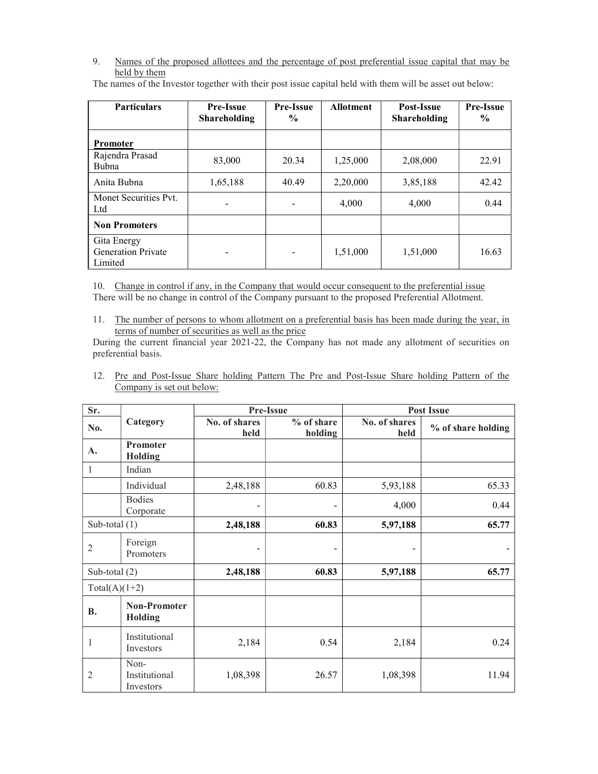9. Names of the proposed allottees and the percentage of post preferential issue capital that may be held by them

| <b>Particulars</b>                                  | <b>Pre-Issue</b><br><b>Shareholding</b> | <b>Pre-Issue</b><br>$\frac{0}{0}$ | <b>Allotment</b> | Post-Issue<br><b>Shareholding</b> | <b>Pre-Issue</b><br>$\frac{6}{9}$ |
|-----------------------------------------------------|-----------------------------------------|-----------------------------------|------------------|-----------------------------------|-----------------------------------|
| <b>Promoter</b>                                     |                                         |                                   |                  |                                   |                                   |
| Rajendra Prasad<br><b>Bubna</b>                     | 83,000                                  | 20.34                             | 1,25,000         | 2,08,000                          | 22.91                             |
| Anita Bubna                                         | 1,65,188                                | 40.49                             | 2,20,000         | 3,85,188                          | 42.42                             |
| Monet Securities Pvt.<br>Ltd                        |                                         |                                   | 4,000            | 4,000                             | 0.44                              |
| <b>Non Promoters</b>                                |                                         |                                   |                  |                                   |                                   |
| Gita Energy<br><b>Generation Private</b><br>Limited | $\overline{\phantom{a}}$                | -                                 | 1,51,000         | 1,51,000                          | 16.63                             |

The names of the Investor together with their post issue capital held with them will be asset out below:

10. Change in control if any, in the Company that would occur consequent to the preferential issue There will be no change in control of the Company pursuant to the proposed Preferential Allotment.

11. The number of persons to whom allotment on a preferential basis has been made during the year, in terms of number of securities as well as the price

During the current financial year 2021-22, the Company has not made any allotment of securities on preferential basis.

12. Pre and Post-Issue Share holding Pattern The Pre and Post-Issue Share holding Pattern of the Company is set out below:

| Sr.             |                                    |                              | Pre-Issue             |                       | <b>Post Issue</b>  |
|-----------------|------------------------------------|------------------------------|-----------------------|-----------------------|--------------------|
| No.             | Category                           | No. of shares<br>held        | % of share<br>holding | No. of shares<br>held | % of share holding |
| A.              | Promoter<br><b>Holding</b>         |                              |                       |                       |                    |
| 1               | Indian                             |                              |                       |                       |                    |
|                 | Individual                         | 2,48,188                     | 60.83                 | 5,93,188              | 65.33              |
|                 | <b>Bodies</b><br>Corporate         | $\qquad \qquad \blacksquare$ |                       | 4,000                 | 0.44               |
| Sub-total $(1)$ |                                    | 2,48,188                     | 60.83                 | 5,97,188              | 65.77              |
| $\overline{c}$  | Foreign<br>Promoters               | $\qquad \qquad \blacksquare$ |                       |                       |                    |
| Sub-total $(2)$ |                                    | 2,48,188                     | 60.83                 | 5,97,188              | 65.77              |
| $Total(A)(1+2)$ |                                    |                              |                       |                       |                    |
| <b>B.</b>       | <b>Non-Promoter</b><br>Holding     |                              |                       |                       |                    |
| 1               | Institutional<br>Investors         | 2,184                        | 0.54                  | 2,184                 | 0.24               |
| $\overline{2}$  | Non-<br>Institutional<br>Investors | 1,08,398                     | 26.57                 | 1,08,398              | 11.94              |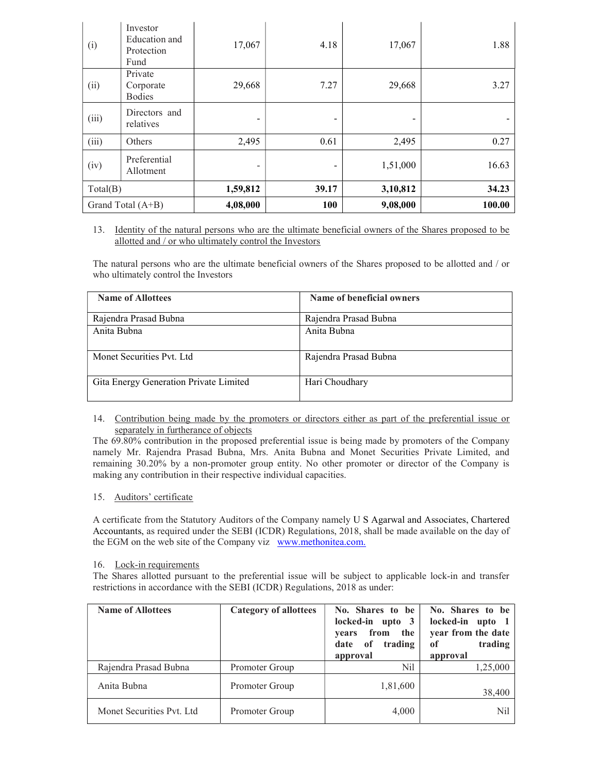| (i)               | Investor<br>Education and<br>Protection<br>Fund | 17,067          | 4.18  | 17,067   | 1.88   |
|-------------------|-------------------------------------------------|-----------------|-------|----------|--------|
| (ii)              | Private<br>Corporate<br><b>Bodies</b>           | 29,668          | 7.27  | 29,668   | 3.27   |
| (iii)             | Directors and<br>relatives                      | $\qquad \qquad$ | -     |          |        |
| (iii)             | Others                                          | 2,495           | 0.61  | 2,495    | 0.27   |
| (iv)              | Preferential<br>Allotment                       | -               |       | 1,51,000 | 16.63  |
| Total(B)          |                                                 | 1,59,812        | 39.17 | 3,10,812 | 34.23  |
| Grand Total (A+B) |                                                 | 4,08,000        | 100   | 9,08,000 | 100.00 |

## 13. Identity of the natural persons who are the ultimate beneficial owners of the Shares proposed to be allotted and / or who ultimately control the Investors

The natural persons who are the ultimate beneficial owners of the Shares proposed to be allotted and / or who ultimately control the Investors

| <b>Name of Allottees</b>               | Name of beneficial owners |
|----------------------------------------|---------------------------|
| Rajendra Prasad Bubna                  | Rajendra Prasad Bubna     |
| Anita Bubna                            | Anita Bubna               |
|                                        |                           |
| Monet Securities Pyt. Ltd              | Rajendra Prasad Bubna     |
| Gita Energy Generation Private Limited | Hari Choudhary            |

## 14. Contribution being made by the promoters or directors either as part of the preferential issue or separately in furtherance of objects

The 69.80% contribution in the proposed preferential issue is being made by promoters of the Company namely Mr. Rajendra Prasad Bubna, Mrs. Anita Bubna and Monet Securities Private Limited, and remaining 30.20% by a non-promoter group entity. No other promoter or director of the Company is making any contribution in their respective individual capacities.

# 15. Auditors' certificate

A certificate from the Statutory Auditors of the Company namely U S Agarwal and Associates, Chartered Accountants, as required under the SEBI (ICDR) Regulations, 2018, shall be made available on the day of the EGM on the web site of the Company viz www.methonitea.com.

# 16. Lock-in requirements

The Shares allotted pursuant to the preferential issue will be subject to applicable lock-in and transfer restrictions in accordance with the SEBI (ICDR) Regulations, 2018 as under:

| <b>Name of Allottees</b>  | <b>Category of allottees</b> | No. Shares to be<br>locked-in upto 3<br>years from<br>the<br>trading<br>date of<br>approval | No. Shares to be<br>locked-in upto 1<br>year from the date<br>trading<br>of<br>approval |
|---------------------------|------------------------------|---------------------------------------------------------------------------------------------|-----------------------------------------------------------------------------------------|
| Rajendra Prasad Bubna     | <b>Promoter Group</b>        | Nil                                                                                         | 1,25,000                                                                                |
| Anita Bubna               | <b>Promoter Group</b>        | 1,81,600                                                                                    | 38,400                                                                                  |
| Monet Securities Pyt. Ltd | <b>Promoter Group</b>        | 4,000                                                                                       | Nil                                                                                     |